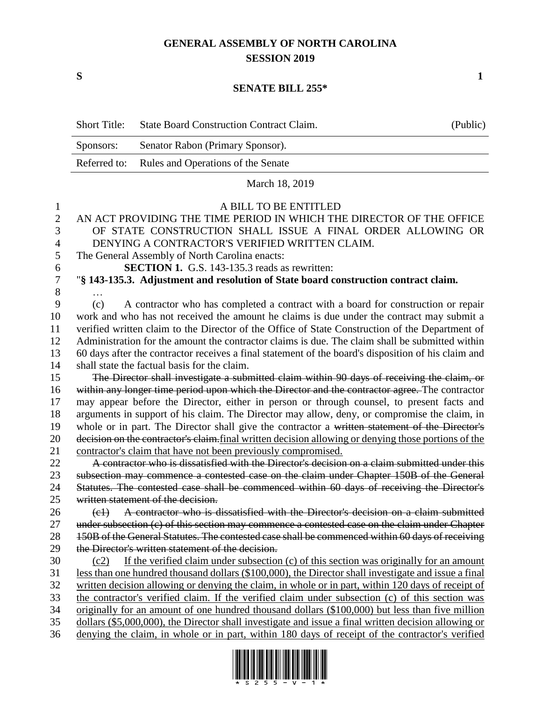## **GENERAL ASSEMBLY OF NORTH CAROLINA SESSION 2019**

**S 1**

## **SENATE BILL 255\***

| Short Title: | <b>State Board Construction Contract Claim.</b> | (Public) |
|--------------|-------------------------------------------------|----------|
| Sponsors:    | Senator Rabon (Primary Sponsor).                |          |
|              | Referred to: Rules and Operations of the Senate |          |
|              |                                                 |          |

March 18, 2019

## A BILL TO BE ENTITLED AN ACT PROVIDING THE TIME PERIOD IN WHICH THE DIRECTOR OF THE OFFICE OF STATE CONSTRUCTION SHALL ISSUE A FINAL ORDER ALLOWING OR DENYING A CONTRACTOR'S VERIFIED WRITTEN CLAIM. The General Assembly of North Carolina enacts: **SECTION 1.** G.S. 143-135.3 reads as rewritten: "**§ 143-135.3. Adjustment and resolution of State board construction contract claim.** … (c) A contractor who has completed a contract with a board for construction or repair work and who has not received the amount he claims is due under the contract may submit a verified written claim to the Director of the Office of State Construction of the Department of Administration for the amount the contractor claims is due. The claim shall be submitted within 60 days after the contractor receives a final statement of the board's disposition of his claim and shall state the factual basis for the claim. The Director shall investigate a submitted claim within 90 days of receiving the claim, or within any longer time period upon which the Director and the contractor agree. The contractor may appear before the Director, either in person or through counsel, to present facts and arguments in support of his claim. The Director may allow, deny, or compromise the claim, in whole or in part. The Director shall give the contractor a written statement of the Director's decision on the contractor's claim.final written decision allowing or denying those portions of the contractor's claim that have not been previously compromised. A contractor who is dissatisfied with the Director's decision on a claim submitted under this subsection may commence a contested case on the claim under Chapter 150B of the General Statutes. The contested case shall be commenced within 60 days of receiving the Director's 25 written statement of the decision. (c1) A contractor who is dissatisfied with the Director's decision on a claim submitted under subsection (c) of this section may commence a contested case on the claim under Chapter 28 150B of the General Statutes. The contested case shall be commenced within 60 days of receiving 29 the Director's written statement of the decision. (c2) If the verified claim under subsection (c) of this section was originally for an amount less than one hundred thousand dollars (\$100,000), the Director shall investigate and issue a final written decision allowing or denying the claim, in whole or in part, within 120 days of receipt of the contractor's verified claim. If the verified claim under subsection (c) of this section was originally for an amount of one hundred thousand dollars (\$100,000) but less than five million dollars (\$5,000,000), the Director shall investigate and issue a final written decision allowing or denying the claim, in whole or in part, within 180 days of receipt of the contractor's verified